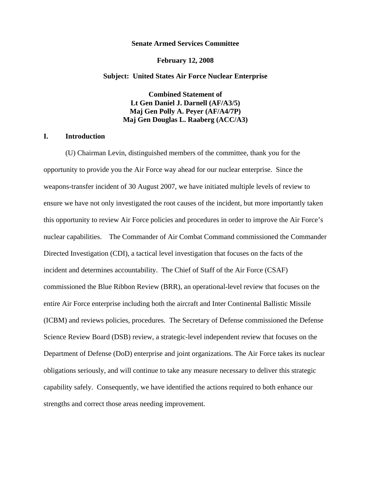### **Senate Armed Services Committee**

### **February 12, 2008**

#### **Subject: United States Air Force Nuclear Enterprise**

**Combined Statement of Lt Gen Daniel J. Darnell (AF/A3/5) Maj Gen Polly A. Peyer (AF/A4/7P) Maj Gen Douglas L. Raaberg (ACC/A3)** 

### **I. Introduction**

(U) Chairman Levin, distinguished members of the committee, thank you for the opportunity to provide you the Air Force way ahead for our nuclear enterprise. Since the weapons-transfer incident of 30 August 2007, we have initiated multiple levels of review to ensure we have not only investigated the root causes of the incident, but more importantly taken this opportunity to review Air Force policies and procedures in order to improve the Air Force's nuclear capabilities. The Commander of Air Combat Command commissioned the Commander Directed Investigation (CDI), a tactical level investigation that focuses on the facts of the incident and determines accountability. The Chief of Staff of the Air Force (CSAF) commissioned the Blue Ribbon Review (BRR), an operational-level review that focuses on the entire Air Force enterprise including both the aircraft and Inter Continental Ballistic Missile (ICBM) and reviews policies, procedures. The Secretary of Defense commissioned the Defense Science Review Board (DSB) review, a strategic-level independent review that focuses on the Department of Defense (DoD) enterprise and joint organizations. The Air Force takes its nuclear obligations seriously, and will continue to take any measure necessary to deliver this strategic capability safely. Consequently, we have identified the actions required to both enhance our strengths and correct those areas needing improvement.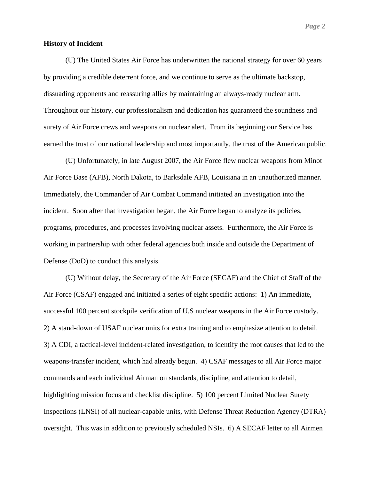## **History of Incident**

(U) The United States Air Force has underwritten the national strategy for over 60 years by providing a credible deterrent force, and we continue to serve as the ultimate backstop, dissuading opponents and reassuring allies by maintaining an always-ready nuclear arm. Throughout our history, our professionalism and dedication has guaranteed the soundness and surety of Air Force crews and weapons on nuclear alert. From its beginning our Service has earned the trust of our national leadership and most importantly, the trust of the American public.

 (U) Unfortunately, in late August 2007, the Air Force flew nuclear weapons from Minot Air Force Base (AFB), North Dakota, to Barksdale AFB, Louisiana in an unauthorized manner. Immediately, the Commander of Air Combat Command initiated an investigation into the incident. Soon after that investigation began, the Air Force began to analyze its policies, programs, procedures, and processes involving nuclear assets. Furthermore, the Air Force is working in partnership with other federal agencies both inside and outside the Department of Defense (DoD) to conduct this analysis.

(U) Without delay, the Secretary of the Air Force (SECAF) and the Chief of Staff of the Air Force (CSAF) engaged and initiated a series of eight specific actions: 1) An immediate, successful 100 percent stockpile verification of U.S nuclear weapons in the Air Force custody. 2) A stand-down of USAF nuclear units for extra training and to emphasize attention to detail. 3) A CDI, a tactical-level incident-related investigation, to identify the root causes that led to the weapons-transfer incident, which had already begun. 4) CSAF messages to all Air Force major commands and each individual Airman on standards, discipline, and attention to detail, highlighting mission focus and checklist discipline. 5) 100 percent Limited Nuclear Surety Inspections (LNSI) of all nuclear-capable units, with Defense Threat Reduction Agency (DTRA) oversight. This was in addition to previously scheduled NSIs. 6) A SECAF letter to all Airmen

*Page 2*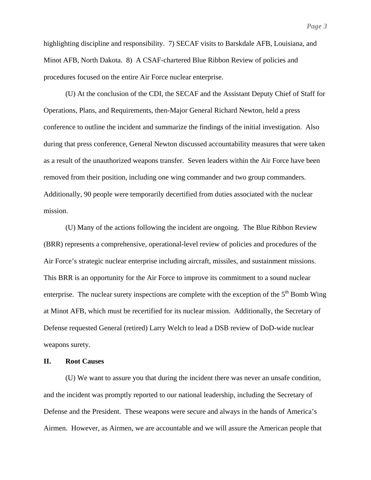highlighting discipline and responsibility. 7) SECAF visits to Barskdale AFB, Louisiana, and Minot AFB, North Dakota. 8) A CSAF-chartered Blue Ribbon Review of policies and procedures focused on the entire Air Force nuclear enterprise.

(U) At the conclusion of the CDI, the SECAF and the Assistant Deputy Chief of Staff for Operations, Plans, and Requirements, then-Major General Richard Newton, held a press conference to outline the incident and summarize the findings of the initial investigation. Also during that press conference, General Newton discussed accountability measures that were taken as a result of the unauthorized weapons transfer. Seven leaders within the Air Force have been removed from their position, including one wing commander and two group commanders. Additionally, 90 people were temporarily decertified from duties associated with the nuclear mission.

(U) Many of the actions following the incident are ongoing. The Blue Ribbon Review (BRR) represents a comprehensive, operational-level review of policies and procedures of the Air Force's strategic nuclear enterprise including aircraft, missiles, and sustainment missions. This BRR is an opportunity for the Air Force to improve its commitment to a sound nuclear enterprise. The nuclear surety inspections are complete with the exception of the  $5<sup>th</sup>$  Bomb Wing at Minot AFB, which must be recertified for its nuclear mission. Additionally, the Secretary of Defense requested General (retired) Larry Welch to lead a DSB review of DoD-wide nuclear weapons surety.

# **II. Root Causes**

(U) We want to assure you that during the incident there was never an unsafe condition, and the incident was promptly reported to our national leadership, including the Secretary of Defense and the President. These weapons were secure and always in the hands of America's Airmen. However, as Airmen, we are accountable and we will assure the American people that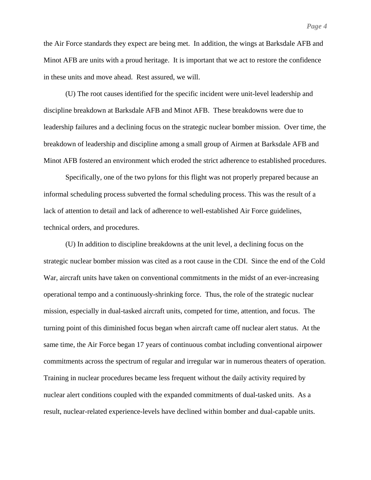the Air Force standards they expect are being met. In addition, the wings at Barksdale AFB and Minot AFB are units with a proud heritage. It is important that we act to restore the confidence in these units and move ahead. Rest assured, we will.

(U) The root causes identified for the specific incident were unit-level leadership and discipline breakdown at Barksdale AFB and Minot AFB. These breakdowns were due to leadership failures and a declining focus on the strategic nuclear bomber mission. Over time, the breakdown of leadership and discipline among a small group of Airmen at Barksdale AFB and Minot AFB fostered an environment which eroded the strict adherence to established procedures.

Specifically, one of the two pylons for this flight was not properly prepared because an informal scheduling process subverted the formal scheduling process. This was the result of a lack of attention to detail and lack of adherence to well-established Air Force guidelines, technical orders, and procedures.

(U) In addition to discipline breakdowns at the unit level, a declining focus on the strategic nuclear bomber mission was cited as a root cause in the CDI. Since the end of the Cold War, aircraft units have taken on conventional commitments in the midst of an ever-increasing operational tempo and a continuously-shrinking force. Thus, the role of the strategic nuclear mission, especially in dual-tasked aircraft units, competed for time, attention, and focus. The turning point of this diminished focus began when aircraft came off nuclear alert status. At the same time, the Air Force began 17 years of continuous combat including conventional airpower commitments across the spectrum of regular and irregular war in numerous theaters of operation. Training in nuclear procedures became less frequent without the daily activity required by nuclear alert conditions coupled with the expanded commitments of dual-tasked units. As a result, nuclear-related experience-levels have declined within bomber and dual-capable units.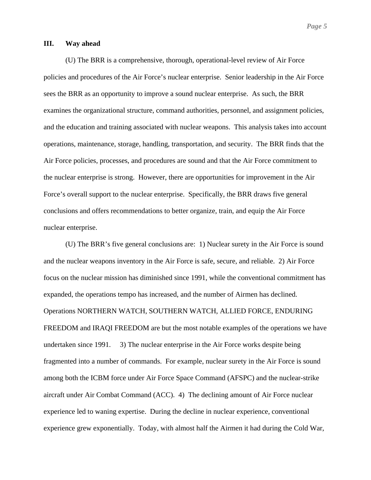*Page 5*

# **III. Way ahead**

(U) The BRR is a comprehensive, thorough, operational-level review of Air Force policies and procedures of the Air Force's nuclear enterprise. Senior leadership in the Air Force sees the BRR as an opportunity to improve a sound nuclear enterprise. As such, the BRR examines the organizational structure, command authorities, personnel, and assignment policies, and the education and training associated with nuclear weapons. This analysis takes into account operations, maintenance, storage, handling, transportation, and security. The BRR finds that the Air Force policies, processes, and procedures are sound and that the Air Force commitment to the nuclear enterprise is strong. However, there are opportunities for improvement in the Air Force's overall support to the nuclear enterprise. Specifically, the BRR draws five general conclusions and offers recommendations to better organize, train, and equip the Air Force nuclear enterprise.

(U) The BRR's five general conclusions are: 1) Nuclear surety in the Air Force is sound and the nuclear weapons inventory in the Air Force is safe, secure, and reliable. 2) Air Force focus on the nuclear mission has diminished since 1991, while the conventional commitment has expanded, the operations tempo has increased, and the number of Airmen has declined. Operations NORTHERN WATCH, SOUTHERN WATCH, ALLIED FORCE, ENDURING FREEDOM and IRAQI FREEDOM are but the most notable examples of the operations we have undertaken since 1991. 3) The nuclear enterprise in the Air Force works despite being fragmented into a number of commands. For example, nuclear surety in the Air Force is sound among both the ICBM force under Air Force Space Command (AFSPC) and the nuclear-strike aircraft under Air Combat Command (ACC). 4) The declining amount of Air Force nuclear experience led to waning expertise. During the decline in nuclear experience, conventional experience grew exponentially. Today, with almost half the Airmen it had during the Cold War,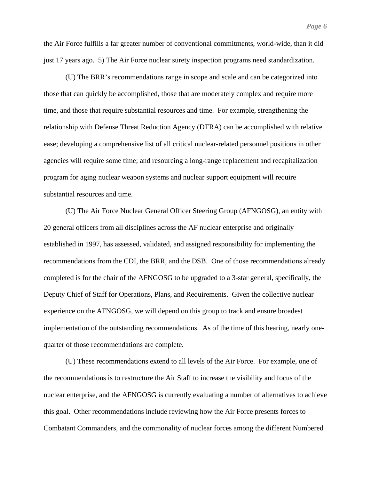the Air Force fulfills a far greater number of conventional commitments, world-wide, than it did just 17 years ago. 5) The Air Force nuclear surety inspection programs need standardization.

(U) The BRR's recommendations range in scope and scale and can be categorized into those that can quickly be accomplished, those that are moderately complex and require more time, and those that require substantial resources and time. For example, strengthening the relationship with Defense Threat Reduction Agency (DTRA) can be accomplished with relative ease; developing a comprehensive list of all critical nuclear-related personnel positions in other agencies will require some time; and resourcing a long-range replacement and recapitalization program for aging nuclear weapon systems and nuclear support equipment will require substantial resources and time.

(U) The Air Force Nuclear General Officer Steering Group (AFNGOSG), an entity with 20 general officers from all disciplines across the AF nuclear enterprise and originally established in 1997, has assessed, validated, and assigned responsibility for implementing the recommendations from the CDI, the BRR, and the DSB. One of those recommendations already completed is for the chair of the AFNGOSG to be upgraded to a 3-star general, specifically, the Deputy Chief of Staff for Operations, Plans, and Requirements. Given the collective nuclear experience on the AFNGOSG, we will depend on this group to track and ensure broadest implementation of the outstanding recommendations. As of the time of this hearing, nearly onequarter of those recommendations are complete.

(U) These recommendations extend to all levels of the Air Force. For example, one of the recommendations is to restructure the Air Staff to increase the visibility and focus of the nuclear enterprise, and the AFNGOSG is currently evaluating a number of alternatives to achieve this goal. Other recommendations include reviewing how the Air Force presents forces to Combatant Commanders, and the commonality of nuclear forces among the different Numbered